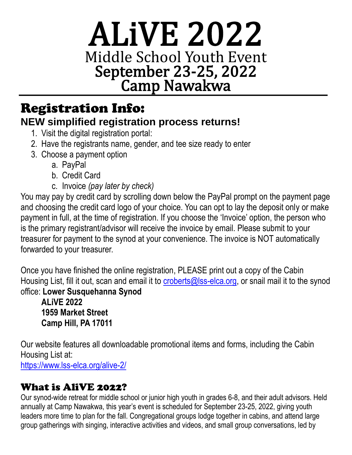# ALiVE 2022 Middle School Youth Event September 23-25, 2022 Camp Nawakwa

## Registration Info: **NEW simplified registration process returns!**

- 1. Visit the digital registration portal:
- 2. Have the registrants name, gender, and tee size ready to enter
- 3. Choose a payment option
	- a. PayPal
	- b. Credit Card
	- c. Invoice *(pay later by check)*

You may pay by credit card by scrolling down below the PayPal prompt on the payment page and choosing the credit card logo of your choice. You can opt to lay the deposit only or make payment in full, at the time of registration. If you choose the 'Invoice' option, the person who is the primary registrant/advisor will receive the invoice by email. Please submit to your treasurer for payment to the synod at your convenience. The invoice is NOT automatically forwarded to your treasurer.

Once you have finished the online registration, PLEASE print out a copy of the Cabin Housing List, fill it out, scan and email it to [croberts@lss-elca.org,](mailto:croberts@lss-elca.org) or snail mail it to the synod office: **Lower Susquehanna Synod**

**ALiVE 2022 1959 Market Street Camp Hill, PA 17011**

Our website features all downloadable promotional items and forms, including the Cabin Housing List at: <https://www.lss-elca.org/alive-2/>

## What is AliVE 2022?

Our synod-wide retreat for middle school or junior high youth in grades 6-8, and their adult advisors. Held annually at Camp Nawakwa, this year's event is scheduled for September 23-25, 2022, giving youth leaders more time to plan for the fall. Congregational groups lodge together in cabins, and attend large group gatherings with singing, interactive activities and videos, and small group conversations, led by